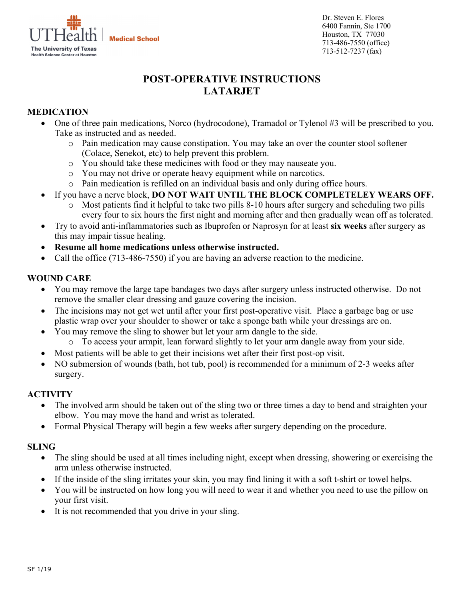

Dr. Steven E. Flores 6400 Fannin, Ste 1700 Houston, TX 77030 713-486-7550 (office) 713-512-7237 (fax)

# **POST-OPERATIVE INSTRUCTIONS LATARJET**

## **MEDICATION**

- One of three pain medications, Norco (hydrocodone), Tramadol or Tylenol #3 will be prescribed to you. Take as instructed and as needed.
	- o Pain medication may cause constipation. You may take an over the counter stool softener (Colace, Senekot, etc) to help prevent this problem.
	- o You should take these medicines with food or they may nauseate you.
	- o You may not drive or operate heavy equipment while on narcotics.
	- o Pain medication is refilled on an individual basis and only during office hours.
- If you have a nerve block, **DO NOT WAIT UNTIL THE BLOCK COMPLETELEY WEARS OFF.**
	- Most patients find it helpful to take two pills 8-10 hours after surgery and scheduling two pills every four to six hours the first night and morning after and then gradually wean off as tolerated.
- Try to avoid anti-inflammatories such as Ibuprofen or Naprosyn for at least **six weeks** after surgery as this may impair tissue healing.
- **Resume all home medications unless otherwise instructed.**
- Call the office (713-486-7550) if you are having an adverse reaction to the medicine.

#### **WOUND CARE**

- You may remove the large tape bandages two days after surgery unless instructed otherwise. Do not remove the smaller clear dressing and gauze covering the incision.
- The incisions may not get wet until after your first post-operative visit. Place a garbage bag or use plastic wrap over your shoulder to shower or take a sponge bath while your dressings are on.
- You may remove the sling to shower but let your arm dangle to the side.
	- o To access your armpit, lean forward slightly to let your arm dangle away from your side.
- Most patients will be able to get their incisions wet after their first post-op visit.
- NO submersion of wounds (bath, hot tub, pool) is recommended for a minimum of 2-3 weeks after surgery.

#### **ACTIVITY**

- The involved arm should be taken out of the sling two or three times a day to bend and straighten your elbow. You may move the hand and wrist as tolerated.
- Formal Physical Therapy will begin a few weeks after surgery depending on the procedure.

#### **SLING**

- The sling should be used at all times including night, except when dressing, showering or exercising the arm unless otherwise instructed.
- If the inside of the sling irritates your skin, you may find lining it with a soft t-shirt or towel helps.
- You will be instructed on how long you will need to wear it and whether you need to use the pillow on your first visit.
- It is not recommended that you drive in your sling.